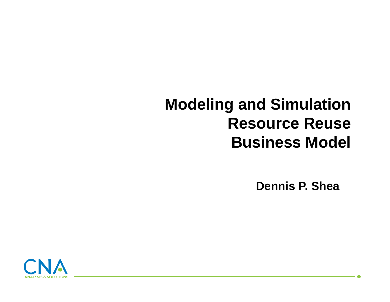# **Modeling and Simulation Resource ReuseBusiness Model**

**Dennis P. Shea**

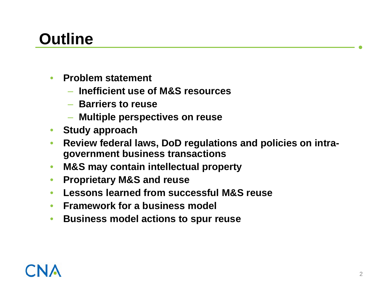# **Outline**

- • **Problem statement**
	- **Inefficient use of M&S resources**
	- **Barriers to reuse**
	- **Multiple perspectives on reuse**
- •**Study approach**
- • **Review federal laws, DoD regulations and policies on intragovernment business transactions**
- •**M&S may contain intellectual property**
- •**Proprietary M&S and reuse**
- •**Lessons learned from successful M&S reuse**
- •**Framework for a business model**
- $\bullet$ **Business model actions to spur reuse**

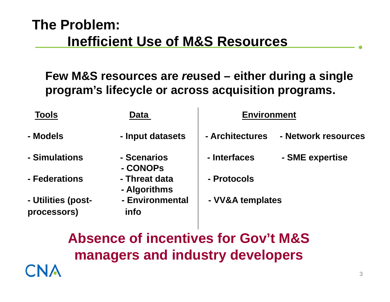#### **The Problem: Inefficient Use of M&S Resources**

#### **Few M&S resources are** *re***used – either during a single program's lifecycle or across acquisition programs.**

| <b>Tools</b>       | <b>Data</b>                                                                        | <b>Environment</b> |                     |
|--------------------|------------------------------------------------------------------------------------|--------------------|---------------------|
| - Models           | - Input datasets                                                                   | - Architectures    | - Network resources |
| - Simulations      | - Scenarios<br>- CONOPS                                                            | - Interfaces       | - SME expertise     |
| - Federations      | - Threat data<br>- Algorithms                                                      | - Protocols        |                     |
| - Utilities (post- | - Environmental                                                                    | - VV&A templates   |                     |
| processors)        | <i>info</i>                                                                        |                    |                     |
|                    | <b>Absence of incentives for Gov't M&amp;S</b><br>managers and industry developers |                    |                     |
|                    |                                                                                    |                    | 3                   |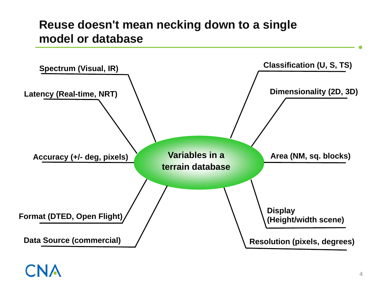#### **Reuse doesn't mean necking down to a single model or database**



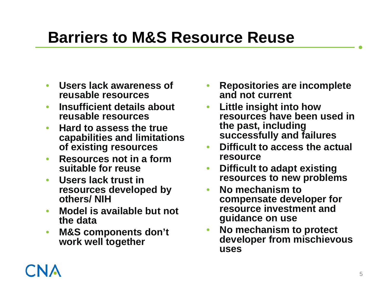# **Barriers to M&S Resource Reuse**

- • **Users lack awareness of reusable resources**
- • **Insufficient details about reusable resources**
- • **Hard to assess the true capabilities and limitations of existing resources**
- • **Resources not in a form suitable for reuse**
- • **Users lack trust in resources developed by others/ NIH**
- • **Model is available but not the data**
- • **M&S components don't work well together**
- • **Repositories are incomplete and not current**
- $\bullet$  **Little insight into how resources have been used in the past, including successfully and failures**
- • **Difficult to access the actual resource**
- • **Difficult to adapt existing resources to new problems**
- $\bullet$  **No mechanism to compensate developer for resource investment and guidance on use**
- • **No mechanism to protect developer from mischievous uses**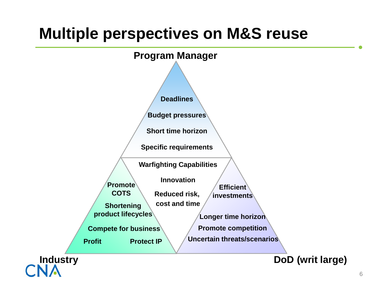## **Multiple perspectives on M&S reuse**

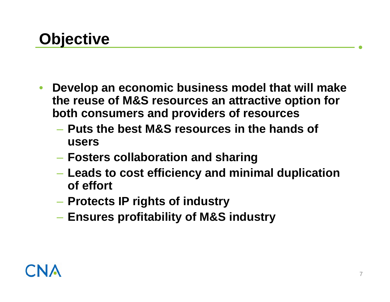- $\bullet$  **Develop an economic business model that will make the reuse of M&S resources an attractive option for both consumers and providers of resources**
	- **Puts the best M&S resources in the hands of users**
	- **Fosters collaboration and sharing**
	- **Leads to cost efficiency and minimal duplication of effort**
	- **Protects IP rights of industry**
	- **Ensures profitability of M&S industry**

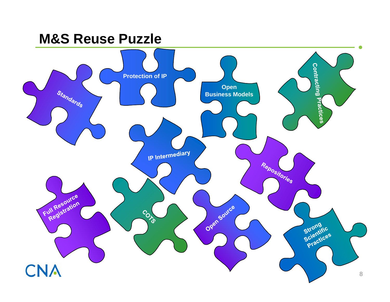#### **M&S Reuse Puzzle**

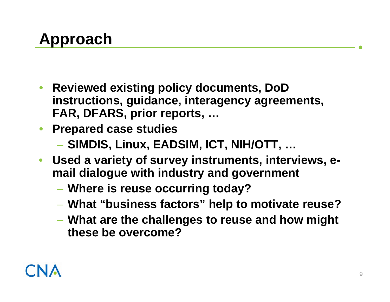- **Reviewed existing policy documents, DoD instructions, guidance, interagency agreements, FAR, DFARS, prior reports, …**
- **Prepared case studies**
	- **SIMDIS, Linux, EADSIM, ICT, NIH/OTT, …**
- **Used a variety of survey instruments, interviews, email dialogue with industry and government** 
	- **Where is reuse occurring today?**
	- **What "business factors" help to motivate reuse?**
	- **What are the challenges to reuse and how might these be overcome?**

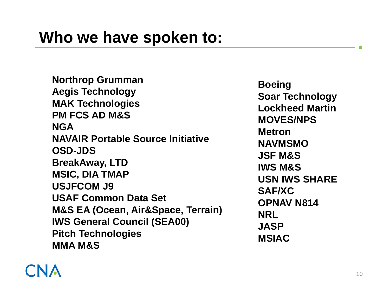**Northrop Grumman Aegis Technology MAK Technologies PM FCS AD M&SNGANAVAIR Portable Source Initiative OSD-JDSBreakAway, LTD MSIC, DIA TMAP USJFCOM J9USAF Common Data Set M&S EA (Ocean, Air&Space, Terrain) IWS General Council (SEA00) Pitch Technologies MMA M&S**

**Boeing Soar Technology Lockheed MartinMOVES/NPSMetronNAVMSMOJSF M&SIWS M&SUSN IWS SHARESAF/XCOPNAV N814NRL JASPMSIAC**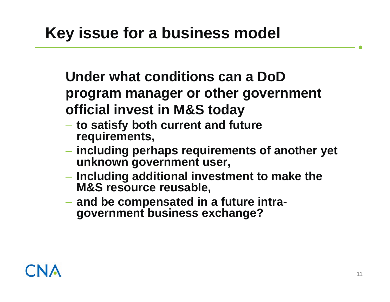**Under what conditions can a DoDprogram manager or other government official invest in M&S today** 

- **to satisfy both current and future requirements,**
- **including perhaps requirements of another yet unknown government user,**
- **Including additional investment to make the M&S resource reusable,**
- **and be compensated in a future intragovernment business exchange?**

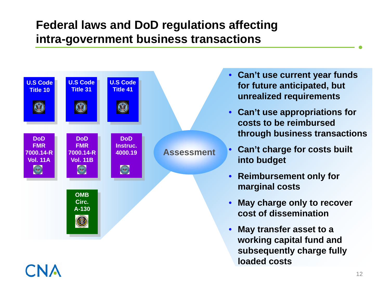#### **Federal laws and DoD regulations affecting intra-government business transactions**



- • **Can't use current year funds for future anticipated, but unrealized requirements**
- **Can't use appropriations for costs to be reimbursed through business transactions**
- • **Can't charge for costs built into budget**
- **Reimbursement only for marginal costs**
- • **May charge only to recover cost of dissemination**
- • **May transfer asset to a working capital fund and subsequently charge fully loaded costs**

12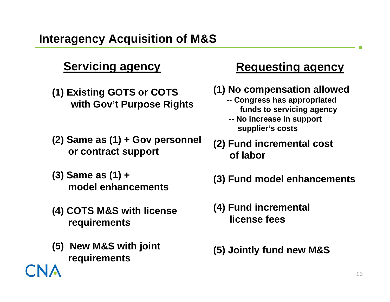- **(1) Existing GOTS or COTS with Gov't Purpose Rights**
- **(2) Same as (1) + Gov personnel or contract support**
- **(3) Same as (1) + model enhancements**
- **(4) COTS M&S with license requirements**
- **(5) New M&S with joint requirements**

#### **Servicing agency Requesting agency**

#### **(1) No compensation allowed**

- **-- Congress has appropriated funds to servicing agency**
- **-- No increase in support supplier's costs**
- **(2) Fund incremental cost of labor**
- **(3) Fund model enhancements**
- **(4) Fund incremental license fees**
- **(5) Jointly fund new M&S**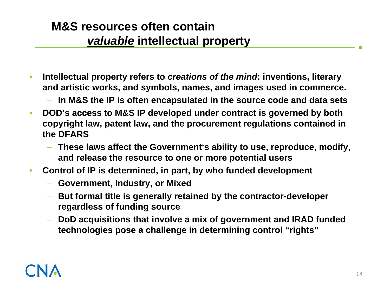#### **M&S resources often contain**  *valuable* **intellectual property**

- • **Intellectual property refers to** *creations of the mind***: inventions, literary and artistic works, and symbols, names, and images used in commerce.**
	- **In M&S the IP is often encapsulated in the source code and data sets**
- $\bullet$  **DOD's access to M&S IP developed under contract is governed by both copyright law, patent law, and the procurement regulations contained in the DFARS**
	- **These laws affect the Government's ability to use, reproduce, modify, and release the resource to one or more potential users**
- • **Control of IP is determined, in part, by who funded development**
	- **Government, Industry, or Mixed**
	- **But formal title is generally retained by the contractor-developer regardless of funding source**
	- **DoD acquisitions that involve a mix of government and IRAD funded technologies pose a challenge in determining control "rights"**

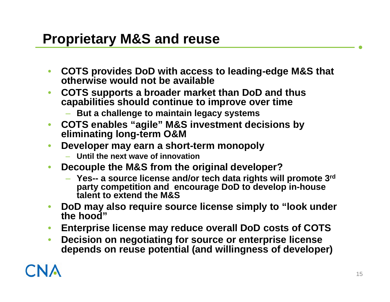#### **Proprietary M&S and reuse**

- $\bullet$  **COTS provides DoD with access to leading-edge M&S that otherwise would not be available**
- $\bullet$  **COTS supports a broader market than DoD and thus capabilities should continue to improve over time**
	- **But a challenge to maintain legacy systems**
- $\bullet$  **COTS enables "agile" M&S investment decisions by eliminating long-term O&M**
- $\bullet$  **Developer may earn a short-term monopoly**
	- **Until the next wave of innovation**
- $\bullet$  **Decouple the M&S from the original developer?**
	- **Yes-- a source license and/or tech data rights will promote 3rd party competition and encourage DoD to develop in-house talent to extend the M&S**
- $\bullet$  **DoD may also require source license simply to "look under the hood"**
- $\bullet$ **Enterprise license may reduce overall DoD costs of COTS**
- $\bullet$  **Decision on negotiating for source or enterprise license depends on reuse potential (and willingness of developer)**

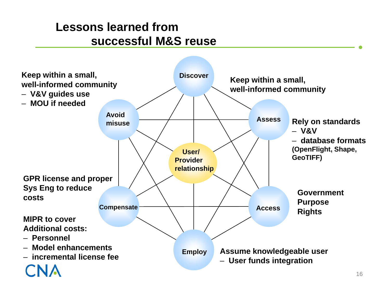#### **Lessons learned from successful M&S reuse**

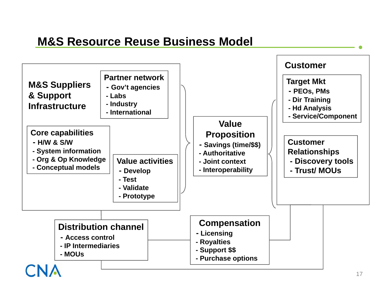#### **M&S Resource Reuse Business Model**

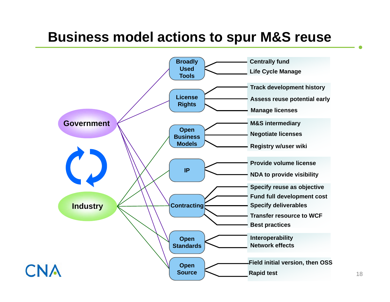#### **Business model actions to spur M&S reuse**

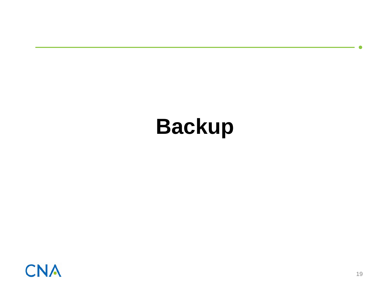# **Backup**

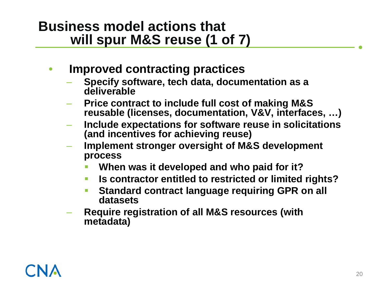#### **Business model actions that will spur M&S reuse (1 of 7)**

- • **Improved contracting practices**
	- **Specify software, tech data, documentation as a deliverable**
	- **Price contract to include full cost of making M&S reusable (licenses, documentation, V&V, interfaces, …)**
	- **Include expectations for software reuse in solicitations (and incentives for achieving reuse)**
	- **Implement stronger oversight of M&S development process**
		- **When was it developed and who paid for it?**
		- П **Is contractor entitled to restricted or limited rights?**
		- П **Standard contract language requiring GPR on all datasets**
	- **Require registration of all M&S resources (with metadata)**

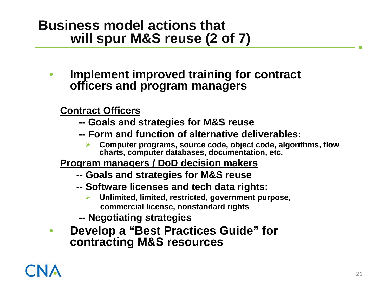#### **Business model actions that will spur M&S reuse (2 of 7)**

 $\bullet$  **Implement improved training for contract officers and program managers**

#### **Contract Officers**

- **-- Goals and strategies for M&S reuse**
- **-- Form and function of alternative deliverables:** 
	- ¾ **Computer programs, source code, object code, algorithms, flow charts, computer databases, documentation, etc.**
- **Program managers / DoD decision makers**
	- **-- Goals and strategies for M&S reuse**
	- **-- Software licenses and tech data rights:**
		- ¾ **Unlimited, limited, restricted, government purpose, commercial license, nonstandard rights**
	- **-- Negotiating strategies**
- $\bullet$  **Develop a "Best Practices Guide" for contracting M&S resources**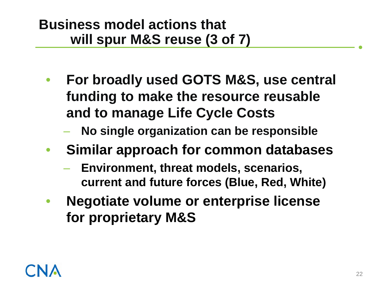#### **Business model actions that will spur M&S reuse (3 of 7)**

- • **For broadly used GOTS M&S, use central funding to make the resource reusable and to manage Life Cycle Costs**
	- –**No single organization can be responsible**
- • **Similar approach for common databases**
	- $\mathcal{L}_{\mathcal{A}}$  **Environment, threat models, scenarios, current and future forces (Blue, Red, White)**
- • **Negotiate volume or enterprise license for proprietary M&S**

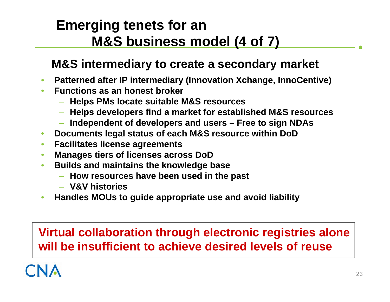### **Emerging tenets for an M&S business model (4 of 7)**

#### **M&S intermediary to create a secondary market**

- •**Patterned after IP intermediary (Innovation Xchange, InnoCentive)**
- $\bullet$  **Functions as an honest broker**
	- **Helps PMs locate suitable M&S resources**
	- **Helps developers find a market for established M&S resources**
	- **Independent of developers and users – Free to sign NDAs**
- •**Documents legal status of each M&S resource within DoD**
- •**Facilitates license agreements**
- $\bullet$ **Manages tiers of licenses across DoD**
- • **Builds and maintains the knowledge base**
	- **How resources have been used in the past**
	- **V&V histories**
- $\bullet$ **Handles MOUs to guide appropriate use and avoid liability**

#### **Virtual collaboration through electronic registries alone will be insufficient to achieve desired levels of reuse**

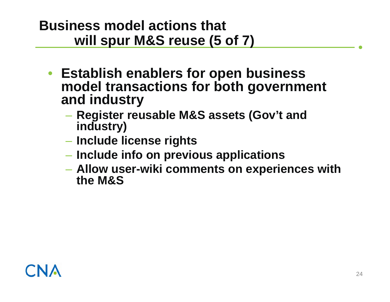#### **Business model actions that will spur M&S reuse (5 of 7)**

- **Establish enablers for open business model transactions for both government and industry**
	- **Register reusable M&S assets (Gov't and industry)**
	- **Include license rights**
	- **Include info on previous applications**
	- **Allow user-wiki comments on experiences with the M&S**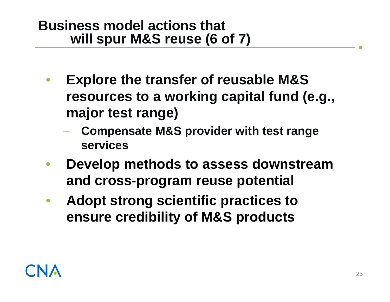#### **Business model actions that will spur M&S reuse (6 of 7)**

- • **Explore the transfer of reusable M&S resources to a working capital fund (e.g., major test range)**
	- – **Compensate M&S provider with test range services**
- • **Develop methods to assess downstream and cross-program reuse potential**
- • **Adopt strong scientific practices to ensure credibility of M&S products**